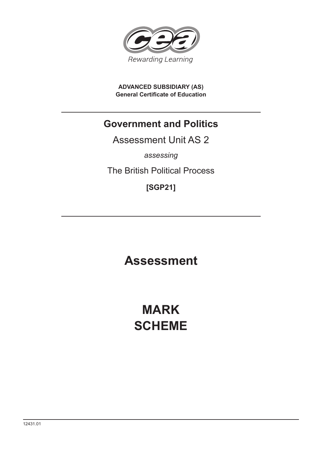

**ADVANCED SUBSIDIARY (AS) General Certificate of Education**

# **Government and Politics**

Assessment Unit AS 2

*assessing*

The British Political Process

**[SGP21]**

**Assessment**

**MARK SCHEME**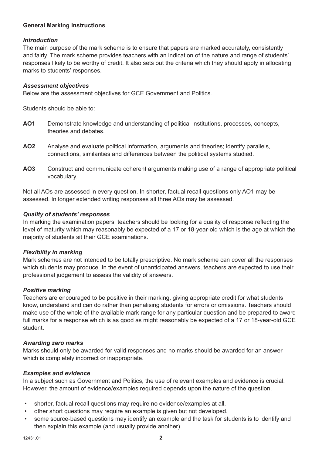### **General Marking Instructions**

#### *Introduction*

The main purpose of the mark scheme is to ensure that papers are marked accurately, consistently and fairly. The mark scheme provides teachers with an indication of the nature and range of students' responses likely to be worthy of credit. It also sets out the criteria which they should apply in allocating marks to students' responses.

#### *Assessment objectives*

Below are the assessment objectives for GCE Government and Politics.

Students should be able to:

- **AO1** Demonstrate knowledge and understanding of political institutions, processes, concepts, theories and debates.
- **AO2** Analyse and evaluate political information, arguments and theories; identify parallels, connections, similarities and differences between the political systems studied.
- **AO3** Construct and communicate coherent arguments making use of a range of appropriate political vocabulary.

Not all AOs are assessed in every question. In shorter, factual recall questions only AO1 may be assessed. In longer extended writing responses all three AOs may be assessed.

#### *Quality of students' responses*

In marking the examination papers, teachers should be looking for a quality of response reflecting the level of maturity which may reasonably be expected of a 17 or 18-year-old which is the age at which the majority of students sit their GCE examinations.

#### *Flexibility in marking*

Mark schemes are not intended to be totally prescriptive. No mark scheme can cover all the responses which students may produce. In the event of unanticipated answers, teachers are expected to use their professional judgement to assess the validity of answers.

#### *Positive marking*

Teachers are encouraged to be positive in their marking, giving appropriate credit for what students know, understand and can do rather than penalising students for errors or omissions. Teachers should make use of the whole of the available mark range for any particular question and be prepared to award full marks for a response which is as good as might reasonably be expected of a 17 or 18-year-old GCE student.

#### *Awarding zero marks*

Marks should only be awarded for valid responses and no marks should be awarded for an answer which is completely incorrect or inappropriate.

#### *Examples and evidence*

In a subject such as Government and Politics, the use of relevant examples and evidence is crucial. However, the amount of evidence/examples required depends upon the nature of the question.

- shorter, factual recall questions may require no evidence/examples at all.
- other short questions may require an example is given but not developed.
- some source-based questions may identify an example and the task for students is to identify and then explain this example (and usually provide another).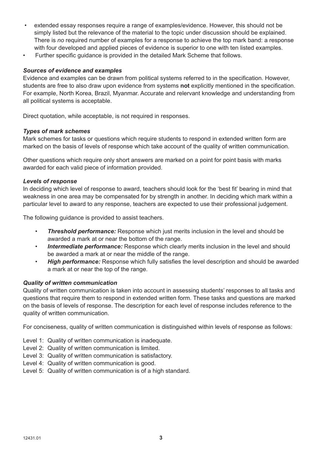- extended essay responses require a range of examples/evidence. However, this should not be simply listed but the relevance of the material to the topic under discussion should be explained. There is *no* required number of examples for a response to achieve the top mark band: a response with four developed and applied pieces of evidence is superior to one with ten listed examples.
- Further specific guidance is provided in the detailed Mark Scheme that follows.

#### *Sources of evidence and examples*

Evidence and examples can be drawn from political systems referred to in the specification. However, students are free to also draw upon evidence from systems **not** explicitly mentioned in the specification. For example, North Korea, Brazil, Myanmar. Accurate and relervant knowledge and understanding from all political systems is acceptable.

Direct quotation, while acceptable, is not required in responses.

#### *Types of mark schemes*

Mark schemes for tasks or questions which require students to respond in extended written form are marked on the basis of levels of response which take account of the quality of written communication.

Other questions which require only short answers are marked on a point for point basis with marks awarded for each valid piece of information provided.

#### *Levels of response*

In deciding which level of response to award, teachers should look for the 'best fit' bearing in mind that weakness in one area may be compensated for by strength in another. In deciding which mark within a particular level to award to any response, teachers are expected to use their professional judgement.

The following guidance is provided to assist teachers.

- *Threshold performance:* Response which just merits inclusion in the level and should be awarded a mark at or near the bottom of the range.
- *Intermediate performance:* Response which clearly merits inclusion in the level and should be awarded a mark at or near the middle of the range.
- *High performance:* Response which fully satisfies the level description and should be awarded a mark at or near the top of the range.

#### *Quality of written communication*

Quality of written communication is taken into account in assessing students' responses to all tasks and questions that require them to respond in extended written form. These tasks and questions are marked on the basis of levels of response. The description for each level of response includes reference to the quality of written communication.

For conciseness, quality of written communication is distinguished within levels of response as follows:

- Level 1: Quality of written communication is inadequate.
- Level 2: Quality of written communication is limited.
- Level 3: Quality of written communication is satisfactory.
- Level 4: Quality of written communication is good.
- Level 5: Quality of written communication is of a high standard.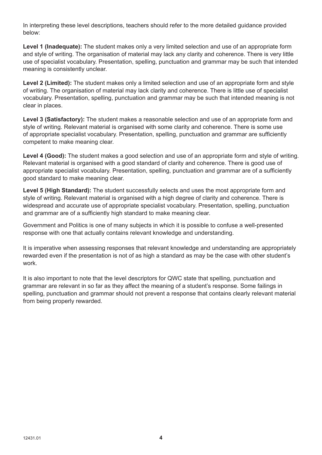In interpreting these level descriptions, teachers should refer to the more detailed guidance provided below:

**Level 1 (Inadequate):** The student makes only a very limited selection and use of an appropriate form and style of writing. The organisation of material may lack any clarity and coherence. There is very little use of specialist vocabulary. Presentation, spelling, punctuation and grammar may be such that intended meaning is consistently unclear.

**Level 2 (Limited):** The student makes only a limited selection and use of an appropriate form and style of writing. The organisation of material may lack clarity and coherence. There is little use of specialist vocabulary. Presentation, spelling, punctuation and grammar may be such that intended meaning is not clear in places.

**Level 3 (Satisfactory):** The student makes a reasonable selection and use of an appropriate form and style of writing. Relevant material is organised with some clarity and coherence. There is some use of appropriate specialist vocabulary. Presentation, spelling, punctuation and grammar are sufficiently competent to make meaning clear.

**Level 4 (Good):** The student makes a good selection and use of an appropriate form and style of writing. Relevant material is organised with a good standard of clarity and coherence. There is good use of appropriate specialist vocabulary. Presentation, spelling, punctuation and grammar are of a sufficiently good standard to make meaning clear.

**Level 5 (High Standard):** The student successfully selects and uses the most appropriate form and style of writing. Relevant material is organised with a high degree of clarity and coherence. There is widespread and accurate use of appropriate specialist vocabulary. Presentation, spelling, punctuation and grammar are of a sufficiently high standard to make meaning clear.

Government and Politics is one of many subjects in which it is possible to confuse a well-presented response with one that actually contains relevant knowledge and understanding.

It is imperative when assessing responses that relevant knowledge and understanding are appropriately rewarded even if the presentation is not of as high a standard as may be the case with other student's work.

It is also important to note that the level descriptors for QWC state that spelling, punctuation and grammar are relevant in so far as they affect the meaning of a student's response. Some failings in spelling, punctuation and grammar should not prevent a response that contains clearly relevant material from being properly rewarded.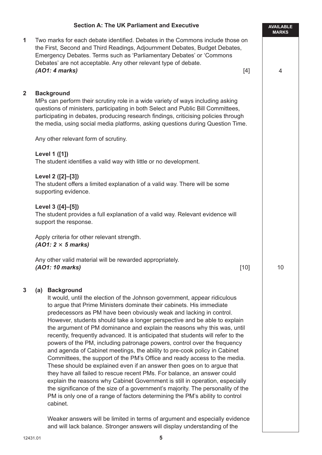|                         | <b>Section A: The UK Parliament and Executive</b>                                                                                                                                                                                                                                                                                                                                                                                                                                                                                                                                                                                                                                                                                                                                                                                                                                                                                                                                                                                                                                                                                                           | <b>AVAILABLE</b><br><b>MARKS</b> |
|-------------------------|-------------------------------------------------------------------------------------------------------------------------------------------------------------------------------------------------------------------------------------------------------------------------------------------------------------------------------------------------------------------------------------------------------------------------------------------------------------------------------------------------------------------------------------------------------------------------------------------------------------------------------------------------------------------------------------------------------------------------------------------------------------------------------------------------------------------------------------------------------------------------------------------------------------------------------------------------------------------------------------------------------------------------------------------------------------------------------------------------------------------------------------------------------------|----------------------------------|
| 1                       | Two marks for each debate identified. Debates in the Commons include those on<br>the First, Second and Third Readings, Adjournment Debates, Budget Debates,<br>Emergency Debates. Terms such as 'Parliamentary Debates' or 'Commons<br>Debates' are not acceptable. Any other relevant type of debate.<br>(AO1: 4 marks)<br>$[4]$                                                                                                                                                                                                                                                                                                                                                                                                                                                                                                                                                                                                                                                                                                                                                                                                                           | $\overline{4}$                   |
| $\overline{\mathbf{2}}$ | <b>Background</b><br>MPs can perform their scrutiny role in a wide variety of ways including asking<br>questions of ministers, participating in both Select and Public Bill Committees,<br>participating in debates, producing research findings, criticising policies through<br>the media, using social media platforms, asking questions during Question Time.                                                                                                                                                                                                                                                                                                                                                                                                                                                                                                                                                                                                                                                                                                                                                                                           |                                  |
|                         | Any other relevant form of scrutiny.                                                                                                                                                                                                                                                                                                                                                                                                                                                                                                                                                                                                                                                                                                                                                                                                                                                                                                                                                                                                                                                                                                                        |                                  |
|                         | Level 1 ([1])<br>The student identifies a valid way with little or no development.                                                                                                                                                                                                                                                                                                                                                                                                                                                                                                                                                                                                                                                                                                                                                                                                                                                                                                                                                                                                                                                                          |                                  |
|                         | Level 2 ([2]-[3])<br>The student offers a limited explanation of a valid way. There will be some<br>supporting evidence.                                                                                                                                                                                                                                                                                                                                                                                                                                                                                                                                                                                                                                                                                                                                                                                                                                                                                                                                                                                                                                    |                                  |
|                         | Level 3 ([4]-[5])<br>The student provides a full explanation of a valid way. Relevant evidence will<br>support the response.                                                                                                                                                                                                                                                                                                                                                                                                                                                                                                                                                                                                                                                                                                                                                                                                                                                                                                                                                                                                                                |                                  |
|                         | Apply criteria for other relevant strength.<br>$(AO1: 2 \times 5 \text{ marks})$                                                                                                                                                                                                                                                                                                                                                                                                                                                                                                                                                                                                                                                                                                                                                                                                                                                                                                                                                                                                                                                                            |                                  |
|                         | Any other valid material will be rewarded appropriately.<br>(AO1: 10 marks)<br>$[10]$                                                                                                                                                                                                                                                                                                                                                                                                                                                                                                                                                                                                                                                                                                                                                                                                                                                                                                                                                                                                                                                                       | 10                               |
| 3                       | <b>Background</b><br>(a)<br>It would, until the election of the Johnson government, appear ridiculous<br>to argue that Prime Ministers dominate their cabinets. His immediate<br>predecessors as PM have been obviously weak and lacking in control.<br>However, students should take a longer perspective and be able to explain<br>the argument of PM dominance and explain the reasons why this was, until<br>recently, frequently advanced. It is anticipated that students will refer to the<br>powers of the PM, including patronage powers, control over the frequency<br>and agenda of Cabinet meetings, the ability to pre-cook policy in Cabinet<br>Committees, the support of the PM's Office and ready access to the media.<br>These should be explained even if an answer then goes on to argue that<br>they have all failed to rescue recent PMs. For balance, an answer could<br>explain the reasons why Cabinet Government is still in operation, especially<br>the significance of the size of a government's majority. The personality of the<br>PM is only one of a range of factors determining the PM's ability to control<br>cabinet. |                                  |

Weaker answers will be limited in terms of argument and especially evidence and will lack balance. Stronger answers will display understanding of the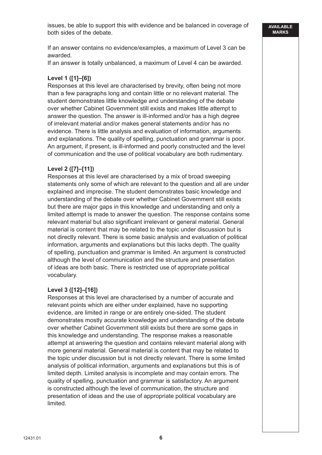issues, be able to support this with evidence and be balanced in coverage of both sides of the debate.

If an answer contains no evidence/examples, a maximum of Level 3 can be awarded.

If an answer is totally unbalanced, a maximum of Level 4 can be awarded.

#### **Level 1 ([1]–[6])**

Responses at this level are characterised by brevity, often being not more than a few paragraphs long and contain little or no relevant material. The student demonstrates little knowledge and understanding of the debate over whether Cabinet Government still exists and makes little attempt to answer the question. The answer is ill-informed and/or has a high degree of irrelevant material and/or makes general statements and/or has no evidence. There is little analysis and evaluation of information, arguments and explanations. The quality of spelling, punctuation and grammar is poor. An argument, if present, is ill-informed and poorly constructed and the level of communication and the use of political vocabulary are both rudimentary.

#### **Level 2 ([7]–[11])**

Responses at this level are characterised by a mix of broad sweeping statements only some of which are relevant to the question and all are under explained and imprecise. The student demonstrates basic knowledge and understanding of the debate over whether Cabinet Government still exists but there are major gaps in this knowledge and understanding and only a limited attempt is made to answer the question. The response contains some relevant material but also significant irrelevant or general material. General material is content that may be related to the topic under discussion but is not directly relevant. There is some basic analysis and evaluation of political information, arguments and explanations but this lacks depth. The quality of spelling, punctuation and grammar is limited. An argument is constructed although the level of communication and the structure and presentation of ideas are both basic. There is restricted use of appropriate political vocabulary.

#### **Level 3 ([12]–[16])**

Responses at this level are characterised by a number of accurate and relevant points which are either under explained, have no supporting evidence, are limited in range or are entirely one-sided. The student demonstrates mostly accurate knowledge and understanding of the debate over whether Cabinet Government still exists but there are some gaps in this knowledge and understanding. The response makes a reasonable attempt at answering the question and contains relevant material along with more general material. General material is content that may be related to the topic under discussion but is not directly relevant. There is some limited analysis of political information, arguments and explanations but this is of limited depth. Limited analysis is incomplete and may contain errors. The quality of spelling, punctuation and grammar is satisfactory. An argument is constructed although the level of communication, the structure and presentation of ideas and the use of appropriate political vocabulary are limited.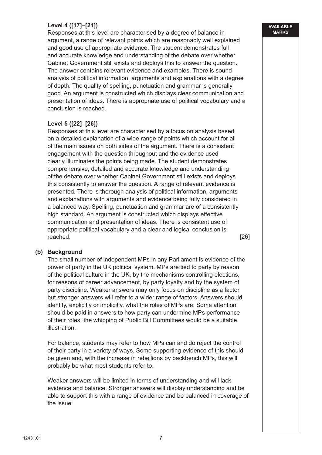## **Level 4 ([17]–[21])**

Responses at this level are characterised by a degree of balance in argument, a range of relevant points which are reasonably well explained and good use of appropriate evidence. The student demonstrates full and accurate knowledge and understanding of the debate over whether Cabinet Government still exists and deploys this to answer the question. The answer contains relevant evidence and examples. There is sound analysis of political information, arguments and explanations with a degree of depth. The quality of spelling, punctuation and grammar is generally good. An argument is constructed which displays clear communication and presentation of ideas. There is appropriate use of political vocabulary and a conclusion is reached.

#### **Level 5 ([22]–[26])**

Responses at this level are characterised by a focus on analysis based on a detailed explanation of a wide range of points which account for all of the main issues on both sides of the argument. There is a consistent engagement with the question throughout and the evidence used clearly illuminates the points being made. The student demonstrates comprehensive, detailed and accurate knowledge and understanding of the debate over whether Cabinet Government still exists and deploys this consistently to answer the question. A range of relevant evidence is presented. There is thorough analysis of political information, arguments and explanations with arguments and evidence being fully considered in a balanced way. Spelling, punctuation and grammar are of a consistently high standard. An argument is constructed which displays effective communication and presentation of ideas. There is consistent use of appropriate political vocabulary and a clear and logical conclusion is reached. [26]

#### **(b) Background**

The small number of independent MPs in any Parliament is evidence of the power of party in the UK political system. MPs are tied to party by reason of the political culture in the UK, by the mechanisms controlling elections, for reasons of career advancement, by party loyalty and by the system of party discipline. Weaker answers may only focus on discipline as a factor but stronger answers will refer to a wider range of factors. Answers should identify, explicitly or implicitly, what the roles of MPs are. Some attention should be paid in answers to how party can undermine MPs performance of their roles: the whipping of Public Bill Committees would be a suitable illustration.

For balance, students may refer to how MPs can and do reject the control of their party in a variety of ways. Some supporting evidence of this should be given and, with the increase in rebellions by backbench MPs, this will probably be what most students refer to.

Weaker answers will be limited in terms of understanding and will lack evidence and balance. Stronger answers will display understanding and be able to support this with a range of evidence and be balanced in coverage of the issue.

#### **AVAILABLE MARKS**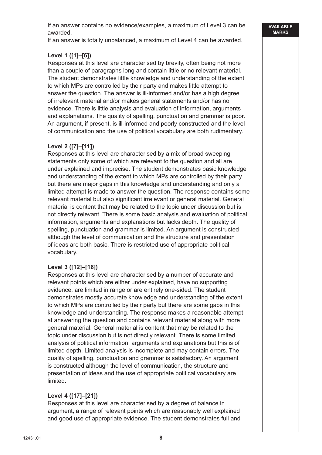If an answer contains no evidence/examples, a maximum of Level 3 can be awarded.

If an answer is totally unbalanced, a maximum of Level 4 can be awarded.

## **Level 1 ([1]–[6])**

Responses at this level are characterised by brevity, often being not more than a couple of paragraphs long and contain little or no relevant material. The student demonstrates little knowledge and understanding of the extent to which MPs are controlled by their party and makes little attempt to answer the question. The answer is ill-informed and/or has a high degree of irrelevant material and/or makes general statements and/or has no evidence. There is little analysis and evaluation of information, arguments and explanations. The quality of spelling, punctuation and grammar is poor. An argument, if present, is ill-informed and poorly constructed and the level of communication and the use of political vocabulary are both rudimentary.

## **Level 2 ([7]–[11])**

Responses at this level are characterised by a mix of broad sweeping statements only some of which are relevant to the question and all are under explained and imprecise. The student demonstrates basic knowledge and understanding of the extent to which MPs are controlled by their party but there are major gaps in this knowledge and understanding and only a limited attempt is made to answer the question. The response contains some relevant material but also significant irrelevant or general material. General material is content that may be related to the topic under discussion but is not directly relevant. There is some basic analysis and evaluation of political information, arguments and explanations but lacks depth. The quality of spelling, punctuation and grammar is limited. An argument is constructed although the level of communication and the structure and presentation of ideas are both basic. There is restricted use of appropriate political vocabulary.

## **Level 3 ([12]–[16])**

Responses at this level are characterised by a number of accurate and relevant points which are either under explained, have no supporting evidence, are limited in range or are entirely one-sided. The student demonstrates mostly accurate knowledge and understanding of the extent to which MPs are controlled by their party but there are some gaps in this knowledge and understanding. The response makes a reasonable attempt at answering the question and contains relevant material along with more general material. General material is content that may be related to the topic under discussion but is not directly relevant. There is some limited analysis of political information, arguments and explanations but this is of limited depth. Limited analysis is incomplete and may contain errors. The quality of spelling, punctuation and grammar is satisfactory. An argument is constructed although the level of communication, the structure and presentation of ideas and the use of appropriate political vocabulary are limited.

### **Level 4 ([17]–[21])**

Responses at this level are characterised by a degree of balance in argument, a range of relevant points which are reasonably well explained and good use of appropriate evidence. The student demonstrates full and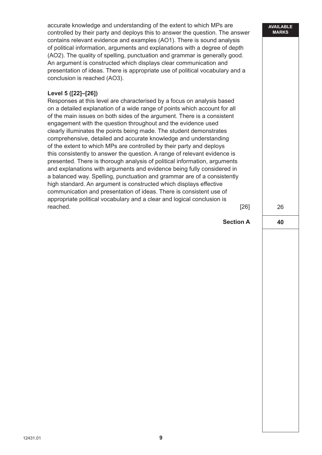26 **40 AVAILABLE MARKS** accurate knowledge and understanding of the extent to which MPs are controlled by their party and deploys this to answer the question. The answer contains relevant evidence and examples (AO1). There is sound analysis of political information, arguments and explanations with a degree of depth (AO2). The quality of spelling, punctuation and grammar is generally good. An argument is constructed which displays clear communication and presentation of ideas. There is appropriate use of political vocabulary and a conclusion is reached (AO3).  **Level 5 ([22]–[26])** Responses at this level are characterised by a focus on analysis based on a detailed explanation of a wide range of points which account for all of the main issues on both sides of the argument. There is a consistent engagement with the question throughout and the evidence used clearly illuminates the points being made. The student demonstrates comprehensive, detailed and accurate knowledge and understanding of the extent to which MPs are controlled by their party and deploys this consistently to answer the question. A range of relevant evidence is presented. There is thorough analysis of political information, arguments and explanations with arguments and evidence being fully considered in a balanced way. Spelling, punctuation and grammar are of a consistently high standard. An argument is constructed which displays effective communication and presentation of ideas. There is consistent use of appropriate political vocabulary and a clear and logical conclusion is reached. [26] **Section A**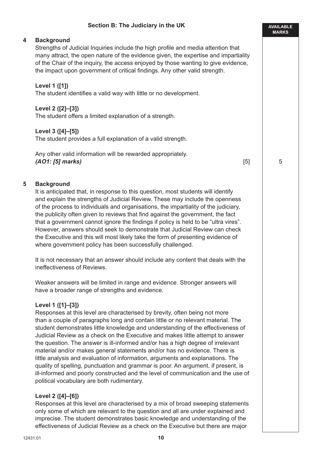## **Section B: The Judiciary in the UK**

#### **4 Background**

Strengths of Judicial Inquiries include the high profile and media attention that many attract, the open nature of the evidence given, the expertise and impartiality of the Chair of the inquiry, the access enjoyed by those wanting to give evidence, the impact upon government of critical findings. Any other valid strength.

#### **Level 1 ([1])**

The student identifies a valid way with little or no development.

#### **Level 2 ([2]–[3])**

The student offers a limited explanation of a strength.

#### **Level 3 ([4]–[5])**

The student provides a full explanation of a valid strength.

Any other valid information will be rewarded appropriately. *(AO1: [5] marks)* [5]

5

**AVAILABLE MARKS**

#### **5 Background**

It is anticipated that, in response to this question, most students will identify and explain the strengths of Judicial Review. These may include the openness of the process to individuals and organisations, the impartiality of the judiciary, the publicity often given to reviews that find against the government, the fact that a government cannot ignore the findings if policy is held to be "ultra vires". However, answers should seek to demonstrate that Judicial Review can check the Executive and this will most likely take the form of presenting evidence of where government policy has been successfully challenged.

It is not necessary that an answer should include any content that deals with the ineffectiveness of Reviews.

Weaker answers will be limited in range and evidence. Stronger answers will have a broader range of strengths and evidence.

#### **Level 1 ([1]–[3])**

Responses at this level are characterised by brevity, often being not more than a couple of paragraphs long and contain little or no relevant material. The student demonstrates little knowledge and understanding of the effectiveness of Judicial Review as a check on the Executive and makes little attempt to answer the question. The answer is ill-informed and/or has a high degree of irrelevant material and/or makes general statements and/or has no evidence. There is little analysis and evaluation of information, arguments and explanations. The quality of spelling, punctuation and grammar is poor. An argument, if present, is ill-informed and poorly constructed and the level of communication and the use of political vocabulary are both rudimentary.

#### **Level 2 ([4]–[6])**

Responses at this level are characterised by a mix of broad sweeping statements only some of which are relevant to the question and all are under explained and imprecise. The student demonstrates basic knowledge and understanding of the effectiveness of Judicial Review as a check on the Executive but there are major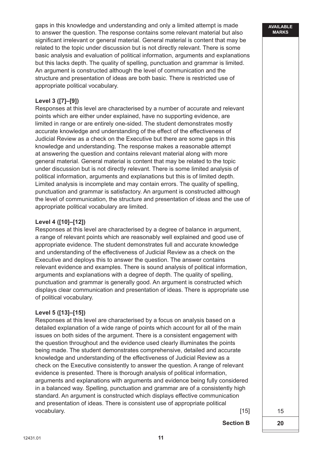gaps in this knowledge and understanding and only a limited attempt is made to answer the question. The response contains some relevant material but also significant irrelevant or general material. General material is content that may be related to the topic under discussion but is not directly relevant. There is some basic analysis and evaluation of political information, arguments and explanations but this lacks depth. The quality of spelling, punctuation and grammar is limited. An argument is constructed although the level of communication and the structure and presentation of ideas are both basic. There is restricted use of appropriate political vocabulary.

## **Level 3 ([7]–[9])**

Responses at this level are characterised by a number of accurate and relevant points which are either under explained, have no supporting evidence, are limited in range or are entirely one-sided. The student demonstrates mostly accurate knowledge and understanding of the effect of the effectiveness of Judicial Review as a check on the Executive but there are some gaps in this knowledge and understanding. The response makes a reasonable attempt at answering the question and contains relevant material along with more general material. General material is content that may be related to the topic under discussion but is not directly relevant. There is some limited analysis of political information, arguments and explanations but this is of limited depth. Limited analysis is incomplete and may contain errors. The quality of spelling, punctuation and grammar is satisfactory. An argument is constructed although the level of communication, the structure and presentation of ideas and the use of appropriate political vocabulary are limited.

#### **Level 4 ([10]–[12])**

Responses at this level are characterised by a degree of balance in argument, a range of relevant points which are reasonably well explained and good use of appropriate evidence. The student demonstrates full and accurate knowledge and understanding of the effectiveness of Judicial Review as a check on the Executive and deploys this to answer the question. The answer contains relevant evidence and examples. There is sound analysis of political information, arguments and explanations with a degree of depth. The quality of spelling, punctuation and grammar is generally good. An argument is constructed which displays clear communication and presentation of ideas. There is appropriate use of political vocabulary.

### **Level 5 ([13]–[15])**

Responses at this level are characterised by a focus on analysis based on a detailed explanation of a wide range of points which account for all of the main issues on both sides of the argument. There is a consistent engagement with the question throughout and the evidence used clearly illuminates the points being made. The student demonstrates comprehensive, detailed and accurate knowledge and understanding of the effectiveness of Judicial Review as a check on the Executive consistently to answer the question. A range of relevant evidence is presented. There is thorough analysis of political information, arguments and explanations with arguments and evidence being fully considered in a balanced way. Spelling, punctuation and grammar are of a consistently high standard. An argument is constructed which displays effective communication and presentation of ideas. There is consistent use of appropriate political vocabulary. [15] **Solution Contract Contract Contract Contract Contract Contract Contract Contract Contract Contract Contract Contract Contract Contract Contract Contract Contract Contract Contract Contract Contract Contra** 

**Section B**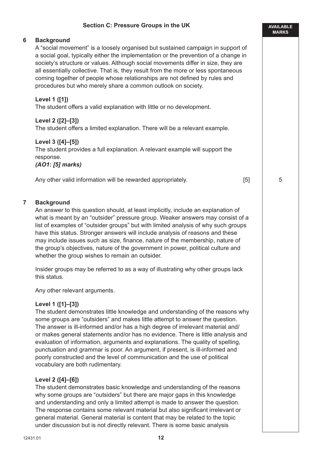## **Section C: Pressure Groups in the UK 6 Background** A "social movement" is a loosely organised but sustained campaign in support of a social goal, typically either the implementation or the prevention of a change in society's structure or values. Although social movements differ in size, they are all essentially collective. That is, they result from the more or less spontaneous coming together of people whose relationships are not defined by rules and

## **Level 1 ([1])**

The student offers a valid explanation with little or no development.

procedures but who merely share a common outlook on society.

## **Level 2 ([2]–[3])**

The student offers a limited explanation. There will be a relevant example.

### **Level 3 ([4]–[5])**

The student provides a full explanation. A relevant example will support the response.

#### *(AO1: [5] marks)*

Any other valid information will be rewarded appropriately. [5]

#### **7 Background**

An answer to this question should, at least implicitly, include an explanation of what is meant by an "outsider" pressure group. Weaker answers may consist of a list of examples of "outsider groups" but with limited analysis of why such groups have this status. Stronger answers will include analysis of reasons and these may include issues such as size, finance, nature of the membership, nature of the group's objectives, nature of the government in power, political culture and whether the group wishes to remain an outsider.

Insider groups may be referred to as a way of illustrating why other groups lack this status.

Any other relevant arguments.

### **Level 1 ([1]–[3])**

The student demonstrates little knowledge and understanding of the reasons why some groups are "outsiders" and makes little attempt to answer the question. The answer is ill-informed and/or has a high degree of irrelevant material and/ or makes general statements and/or has no evidence. There is little analysis and evaluation of information, arguments and explanations. The quality of spelling, punctuation and grammar is poor. An argument, if present, is ill-informed and poorly constructed and the level of communication and the use of political vocabulary are both rudimentary.

### **Level 2 ([4]–[6])**

The student demonstrates basic knowledge and understanding of the reasons why some groups are "outsiders" but there are major gaps in this knowledge and understanding and only a limited attempt is made to answer the question. The response contains some relevant material but also significant irrelevant or general material. General material is content that may be related to the topic under discussion but is not directly relevant. There is some basic analysis

5